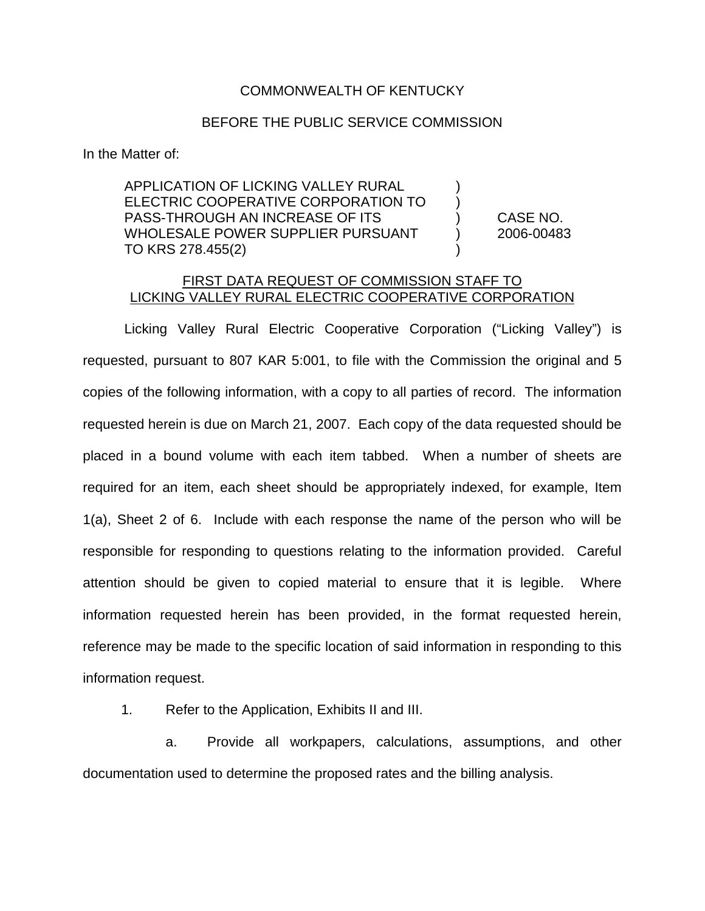## COMMONWEALTH OF KENTUCKY

## BEFORE THE PUBLIC SERVICE COMMISSION

In the Matter of:

APPLICATION OF LICKING VALLEY RURAL ELECTRIC COOPERATIVE CORPORATION TO ) PASS-THROUGH AN INCREASE OF ITS ) CASE NO. WHOLESALE POWER SUPPLIER PURSUANT (2006-00483 TO KRS 278.455(2)

## FIRST DATA REQUEST OF COMMISSION STAFF TO LICKING VALLEY RURAL ELECTRIC COOPERATIVE CORPORATION

Licking Valley Rural Electric Cooperative Corporation ("Licking Valley") is requested, pursuant to 807 KAR 5:001, to file with the Commission the original and 5 copies of the following information, with a copy to all parties of record. The information requested herein is due on March 21, 2007. Each copy of the data requested should be placed in a bound volume with each item tabbed. When a number of sheets are required for an item, each sheet should be appropriately indexed, for example, Item 1(a), Sheet 2 of 6. Include with each response the name of the person who will be responsible for responding to questions relating to the information provided. Careful attention should be given to copied material to ensure that it is legible. Where information requested herein has been provided, in the format requested herein, reference may be made to the specific location of said information in responding to this information request.

1. Refer to the Application, Exhibits II and III.

a. Provide all workpapers, calculations, assumptions, and other documentation used to determine the proposed rates and the billing analysis.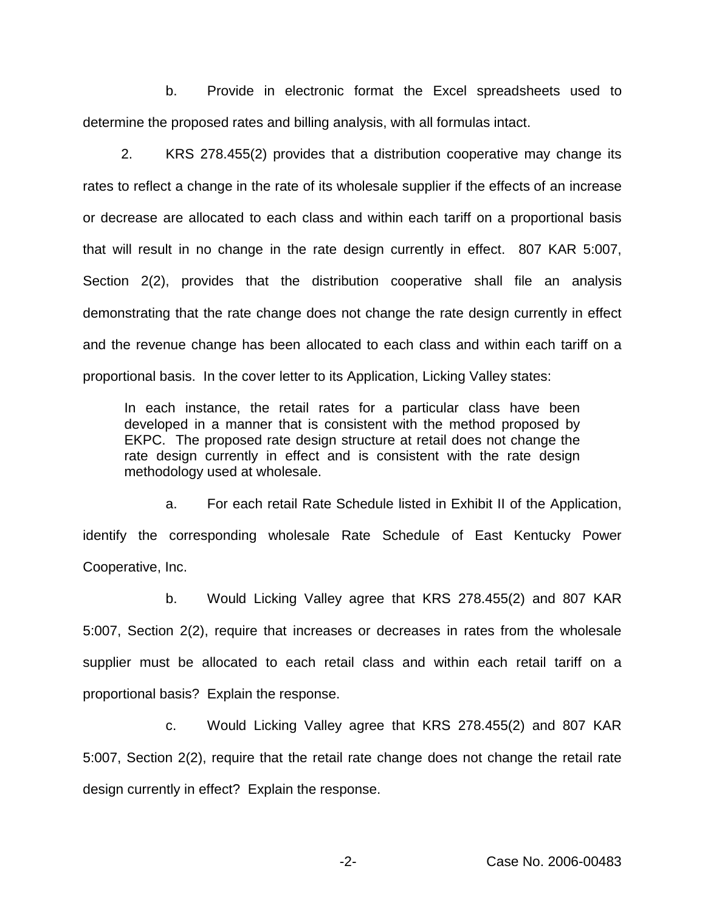b. Provide in electronic format the Excel spreadsheets used to determine the proposed rates and billing analysis, with all formulas intact.

2. KRS 278.455(2) provides that a distribution cooperative may change its rates to reflect a change in the rate of its wholesale supplier if the effects of an increase or decrease are allocated to each class and within each tariff on a proportional basis that will result in no change in the rate design currently in effect. 807 KAR 5:007, Section 2(2), provides that the distribution cooperative shall file an analysis demonstrating that the rate change does not change the rate design currently in effect and the revenue change has been allocated to each class and within each tariff on a proportional basis. In the cover letter to its Application, Licking Valley states:

In each instance, the retail rates for a particular class have been developed in a manner that is consistent with the method proposed by EKPC. The proposed rate design structure at retail does not change the rate design currently in effect and is consistent with the rate design methodology used at wholesale.

a. For each retail Rate Schedule listed in Exhibit II of the Application, identify the corresponding wholesale Rate Schedule of East Kentucky Power Cooperative, Inc.

b. Would Licking Valley agree that KRS 278.455(2) and 807 KAR 5:007, Section 2(2), require that increases or decreases in rates from the wholesale supplier must be allocated to each retail class and within each retail tariff on a proportional basis? Explain the response.

c. Would Licking Valley agree that KRS 278.455(2) and 807 KAR 5:007, Section 2(2), require that the retail rate change does not change the retail rate design currently in effect? Explain the response.